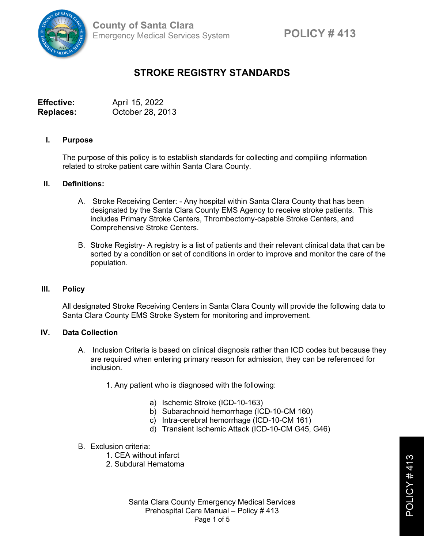

# **STROKE REGISTRY STANDARDS**

**Effective:** April 15, 2022 **Replaces:** October 28, 2013

### **I. Purpose**

The purpose of this policy is to establish standards for collecting and compiling information related to stroke patient care within Santa Clara County.

## **II. Definitions:**

- A. Stroke Receiving Center: Any hospital within Santa Clara County that has been designated by the Santa Clara County EMS Agency to receive stroke patients. This includes Primary Stroke Centers, Thrombectomy-capable Stroke Centers, and Comprehensive Stroke Centers.
- B. Stroke Registry- A registry is a list of patients and their relevant clinical data that can be sorted by a condition or set of conditions in order to improve and monitor the care of the population.

#### **III. Policy**

All designated Stroke Receiving Centers in Santa Clara County will provide the following data to Santa Clara County EMS Stroke System for monitoring and improvement.

## **IV. Data Collection**

- A. Inclusion Criteria is based on clinical diagnosis rather than ICD codes but because they are required when entering primary reason for admission, they can be referenced for inclusion.
	- 1. Any patient who is diagnosed with the following:
		- a) Ischemic Stroke (ICD-10-163)
		- b) Subarachnoid hemorrhage (ICD-10-CM 160)
		- c) Intra-cerebral hemorrhage (ICD-10-CM 161)
		- d) Transient Ischemic Attack (ICD-10-CM G45, G46)
- B. Exclusion criteria:
	- 1. CEA without infarct
	- 2. Subdural Hematoma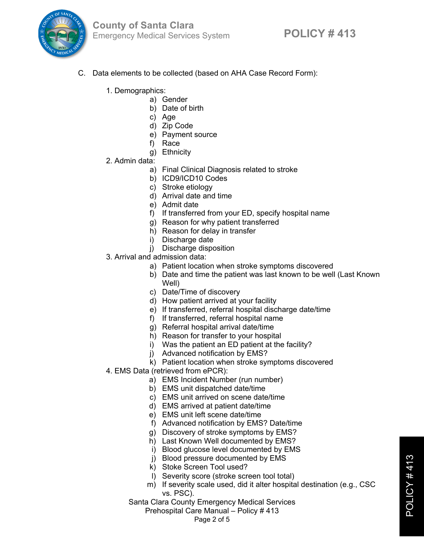

- C. Data elements to be collected (based on AHA Case Record Form):
	- 1. Demographics:
		- a) Gender
			- b) Date of birth
			- c) Age
			- d) Zip Code
			- e) Payment source
			- f) Race
			- g) Ethnicity
	- 2. Admin data:
		- a) Final Clinical Diagnosis related to stroke
		- b) ICD9/ICD10 Codes
		- c) Stroke etiology
		- d) Arrival date and time
		- e) Admit date
		- f) If transferred from your ED, specify hospital name
		- g) Reason for why patient transferred
		- h) Reason for delay in transfer
		- i) Discharge date
		- j) Discharge disposition
	- 3. Arrival and admission data:
		- a) Patient location when stroke symptoms discovered
		- b) Date and time the patient was last known to be well (Last Known Well)
		- c) Date/Time of discovery
		- d) How patient arrived at your facility
		- e) If transferred, referral hospital discharge date/time
		- f) If transferred, referral hospital name
		- g) Referral hospital arrival date/time
		- h) Reason for transfer to your hospital
		- i) Was the patient an ED patient at the facility?
		- j) Advanced notification by EMS?
		- k) Patient location when stroke symptoms discovered
	- 4. EMS Data (retrieved from ePCR):
		- a) EMS Incident Number (run number)
		- b) EMS unit dispatched date/time
		- c) EMS unit arrived on scene date/time
		- d) EMS arrived at patient date/time
		- e) EMS unit left scene date/time
		- f) Advanced notification by EMS? Date/time
		- g) Discovery of stroke symptoms by EMS?
		- h) Last Known Well documented by EMS?
			- i) Blood glucose level documented by EMS
		- j) Blood pressure documented by EMS
		- k) Stoke Screen Tool used?
		- l) Severity score (stroke screen tool total)
		- m) If severity scale used, did it alter hospital destination (e.g., CSC vs. PSC).
		- Santa Clara County Emergency Medical Services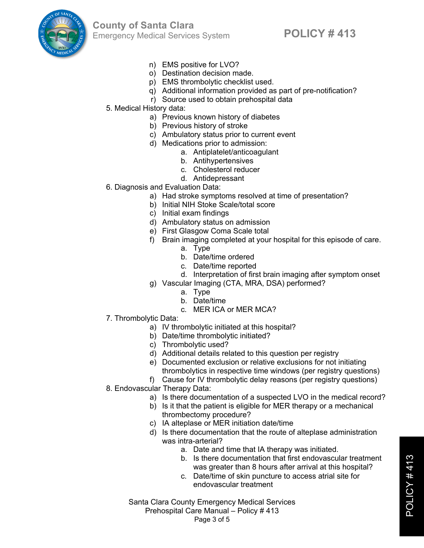

- n) EMS positive for LVO?
- o) Destination decision made.
- p) EMS thrombolytic checklist used.
- q) Additional information provided as part of pre-notification?
- r) Source used to obtain prehospital data
- 5. Medical History data:
	- a) Previous known history of diabetes
	- b) Previous history of stroke
	- c) Ambulatory status prior to current event
	- d) Medications prior to admission:
		- a. Antiplatelet/anticoagulant
		- b. Antihypertensives
		- c. Cholesterol reducer
		- d. Antidepressant
- 6. Diagnosis and Evaluation Data:
	- a) Had stroke symptoms resolved at time of presentation?
	- b) Initial NIH Stoke Scale/total score
	- c) Initial exam findings
	- d) Ambulatory status on admission
	- e) First Glasgow Coma Scale total
	- f) Brain imaging completed at your hospital for this episode of care.
		- a. Type
		- b. Date/time ordered
		- c. Date/time reported
		- d. Interpretation of first brain imaging after symptom onset
	- g) Vascular Imaging (CTA, MRA, DSA) performed?
		- a. Type
		- b. Date/time
		- c. MER ICA or MER MCA?
- 7. Thrombolytic Data:
	- a) IV thrombolytic initiated at this hospital?
	- b) Date/time thrombolytic initiated?
	- c) Thrombolytic used?
	- d) Additional details related to this question per registry
	- e) Documented exclusion or relative exclusions for not initiating thrombolytics in respective time windows (per registry questions)
	- f) Cause for IV thrombolytic delay reasons (per registry questions)
- 8. Endovascular Therapy Data:
	- a) Is there documentation of a suspected LVO in the medical record?
	- b) Is it that the patient is eligible for MER therapy or a mechanical thrombectomy procedure?
	- c) IA alteplase or MER initiation date/time
	- d) Is there documentation that the route of alteplase administration was intra-arterial?
		- a. Date and time that IA therapy was initiated.
		- b. Is there documentation that first endovascular treatment was greater than 8 hours after arrival at this hospital?
		- c. Date/time of skin puncture to access atrial site for endovascular treatment

Santa Clara County Emergency Medical Services Prehospital Care Manual – Policy # 413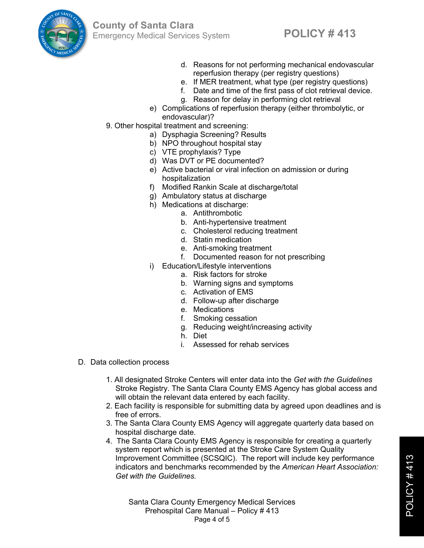

- d. Reasons for not performing mechanical endovascular reperfusion therapy (per registry questions)
- e. If MER treatment, what type (per registry questions)
- f. Date and time of the first pass of clot retrieval device.
- g. Reason for delay in performing clot retrieval
- e) Complications of reperfusion therapy (either thrombolytic, or endovascular)?
- 9. Other hospital treatment and screening:
	- a) Dysphagia Screening? Results
	- b) NPO throughout hospital stay
	- c) VTE prophylaxis? Type
	- d) Was DVT or PE documented?
	- e) Active bacterial or viral infection on admission or during hospitalization
	- f) Modified Rankin Scale at discharge/total
	- g) Ambulatory status at discharge
	- h) Medications at discharge:
		- a. Antithrombotic
			- b. Anti-hypertensive treatment
			- c. Cholesterol reducing treatment
			- d. Statin medication
			- e. Anti-smoking treatment
			- f. Documented reason for not prescribing
	- i) Education/Lifestyle interventions
		- a. Risk factors for stroke
		- b. Warning signs and symptoms
		- c. Activation of EMS
		- d. Follow-up after discharge
		- e. Medications
		- f. Smoking cessation
		- g. Reducing weight/increasing activity
		- h. Diet
		- i. Assessed for rehab services
- D. Data collection process
	- 1. All designated Stroke Centers will enter data into the *Get with the Guidelines* Stroke Registry. The Santa Clara County EMS Agency has global access and will obtain the relevant data entered by each facility.
	- 2. Each facility is responsible for submitting data by agreed upon deadlines and is free of errors.
	- 3. The Santa Clara County EMS Agency will aggregate quarterly data based on hospital discharge date.
	- 4. The Santa Clara County EMS Agency is responsible for creating a quarterly system report which is presented at the Stroke Care System Quality Improvement Committee (SCSQIC). The report will include key performance indicators and benchmarks recommended by the *American Heart Association: Get with the Guidelines.*